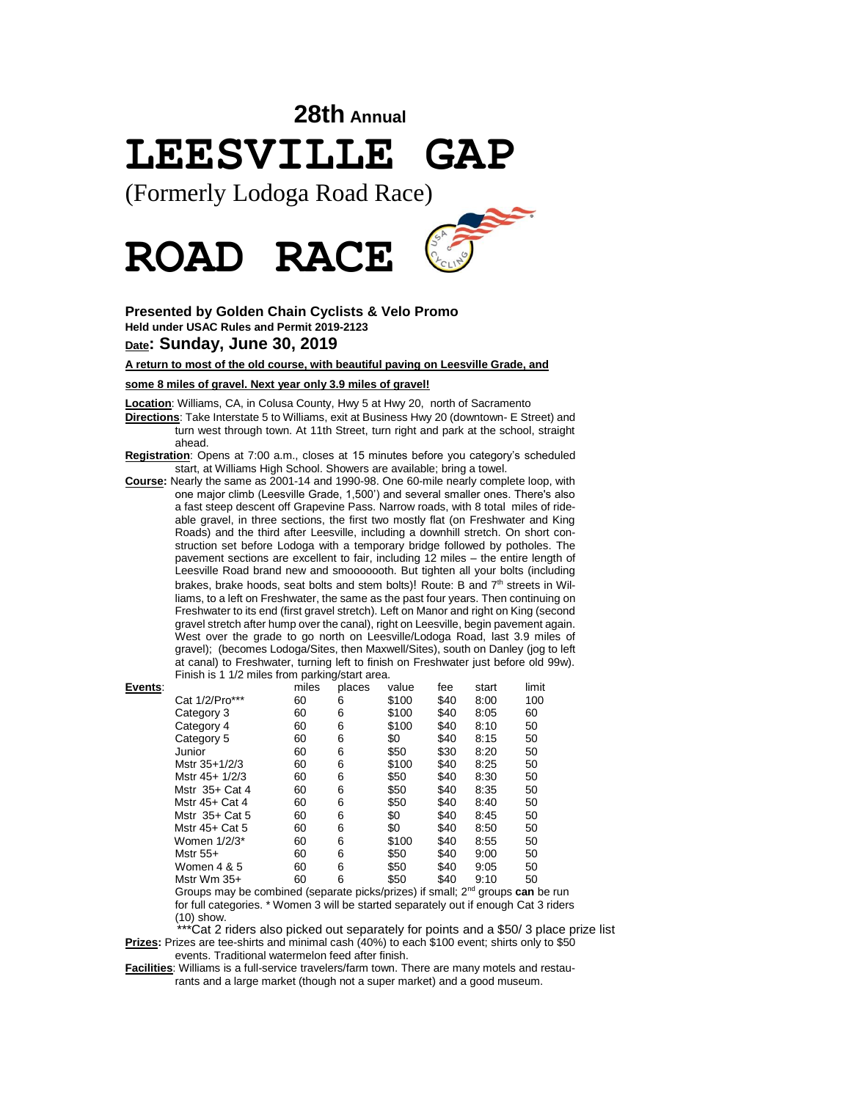# **28th Annual LEESVILLE GAP**

(Formerly Lodoga Road Race)



## **Presented by Golden Chain Cyclists & Velo Promo Held under USAC Rules and Permit 2019-2123 Date: Sunday, June 30, 2019**

## **A return to most of the old course, with beautiful paving on Leesville Grade, and**

### **some 8 miles of gravel. Next year only 3.9 miles of gravel!**

**Location**: Williams, CA, in Colusa County, Hwy 5 at Hwy 20, north of Sacramento

**Directions**: Take Interstate 5 to Williams, exit at Business Hwy 20 (downtown- E Street) and turn west through town. At 11th Street, turn right and park at the school, straight ahead.

**Registration**: Opens at 7:00 a.m., closes at 15 minutes before you category's scheduled start, at Williams High School. Showers are available; bring a towel.

**Course:** Nearly the same as 2001-14 and 1990-98. One 60-mile nearly complete loop, with one major climb (Leesville Grade, 1,500') and several smaller ones. There's also a fast steep descent off Grapevine Pass. Narrow roads, with 8 total miles of rideable gravel, in three sections, the first two mostly flat (on Freshwater and King Roads) and the third after Leesville, including a downhill stretch. On short construction set before Lodoga with a temporary bridge followed by potholes. The pavement sections are excellent to fair, including 12 miles – the entire length of Leesville Road brand new and smooooooth. But tighten all your bolts (including brakes, brake hoods, seat bolts and stem bolts)! Route: B and  $7<sup>th</sup>$  streets in Williams, to a left on Freshwater, the same as the past four years. Then continuing on Freshwater to its end (first gravel stretch). Left on Manor and right on King (second gravel stretch after hump over the canal), right on Leesville, begin pavement again. West over the grade to go north on Leesville/Lodoga Road, last 3.9 miles of gravel); (becomes Lodoga/Sites, then Maxwell/Sites), south on Danley (jog to left at canal) to Freshwater, turning left to finish on Freshwater just before old 99w). Finish is 1 1/2 miles from parking/start area.

| Events: |                | miles | places | value   | fee          | start | limit |
|---------|----------------|-------|--------|---------|--------------|-------|-------|
|         | Cat 1/2/Pro*** | 60    | 6      | \$100   | \$40         | 8:00  | 100   |
|         | Category 3     | 60    | 6      | \$100   | \$40         | 8:05  | 60    |
|         | Category 4     | 60    | 6      | \$100   | \$40         | 8:10  | 50    |
|         | Category 5     | 60    | 6      | \$0     | \$40         | 8:15  | 50    |
|         | Junior         | 60    | 6      | \$50    | \$30         | 8:20  | 50    |
|         | Mstr 35+1/2/3  | 60    | 6      | \$100   | \$40         | 8:25  | 50    |
|         | Mstr 45+ 1/2/3 | 60    | 6      | \$50    | \$40         | 8:30  | 50    |
|         | Mstr 35+ Cat 4 | 60    | 6      | \$50    | \$40         | 8:35  | 50    |
|         | Mstr 45+ Cat 4 | 60    | 6      | \$50    | \$40         | 8:40  | 50    |
|         | Mstr 35+ Cat 5 | 60    | 6      | \$0     | \$40         | 8:45  | 50    |
|         | Mstr 45+ Cat 5 | 60    | 6      | \$0     | \$40         | 8:50  | 50    |
|         | Women 1/2/3*   | 60    | 6      | \$100   | \$40         | 8:55  | 50    |
|         | Mstr 55+       | 60    | 6      | \$50    | \$40         | 9:00  | 50    |
|         | Women 4 & 5    | 60    | 6      | \$50    | \$40         | 9:05  | 50    |
|         | Mstr Wm 35+    | 60    | 6      | \$50    | \$40         | 9:10  | 50    |
|         |                |       |        | - \ . r | $\cdots$ and |       |       |

Groups may be combined (separate picks/prizes) if small; 2nd groups **can** be run for full categories. \* Women 3 will be started separately out if enough Cat 3 riders (10) show.

 \*\*\*Cat 2 riders also picked out separately for points and a \$50/ 3 place prize list **Prizes:** Prizes are tee-shirts and minimal cash (40%) to each \$100 event; shirts only to \$50 events. Traditional watermelon feed after finish.

**Facilities**: Williams is a full-service travelers/farm town. There are many motels and restaurants and a large market (though not a super market) and a good museum.